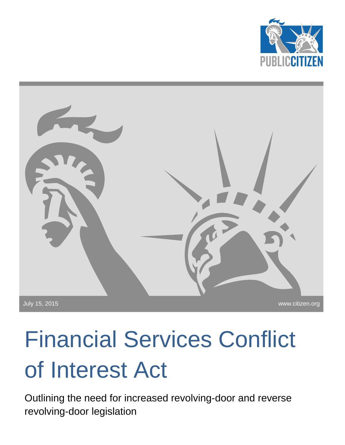



# Financial Services Conflict of Interest Act

Outlining the need for increased revolving-door and reverse revolving-door legislation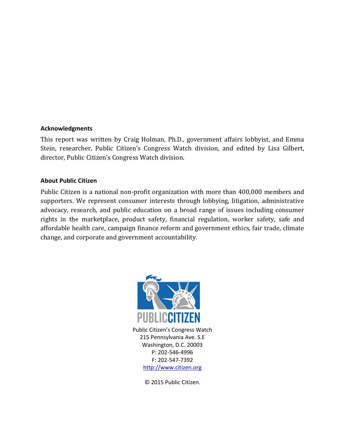#### **Acknowledgments**

This report was written by Craig Holman, Ph.D., government affairs lobbyist, and Emma Stein, researcher, Public Citizen's Congress Watch division, and edited by Lisa Gilbert, director, Public Citizen's Congress Watch division.

#### **About Public Citizen**

Public Citizen is a national non-profit organization with more than 400,000 members and supporters. We represent consumer interests through lobbying, litigation, administrative advocacy, research, and public education on a broad range of issues including consumer rights in the marketplace, product safety, financial regulation, worker safety, safe and affordable health care, campaign finance reform and government ethics, fair trade, climate change, and corporate and government accountability.



Public Citizen's Congress Watch 215 Pennsylvania Ave. S.E Washington, D.C. 20003 P: 202-546-4996 F: 202-547-7392 [http://www.citizen.org](http://www.citizen.org/)

© 2015 Public Citizen.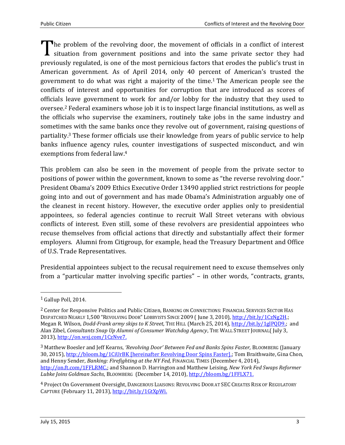The problem of the revolving door, the movement of officials in a conflict of interest situation from government positions and into the same private sector they had situation from government positions and into the same private sector they had previously regulated, is one of the most pernicious factors that erodes the public's trust in American government. As of April 2014, only 40 percent of American's trusted the government to do what was right a majority of the time.<sup>1</sup> The American people see the conflicts of interest and opportunities for corruption that are introduced as scores of officials leave government to work for and/or lobby for the industry that they used to oversee.<sup>2</sup> Federal examiners whose job it is to inspect large financial institutions, as well as the officials who supervise the examiners, routinely take jobs in the same industry and sometimes with the same banks once they revolve out of government, raising questions of partiality. <sup>3</sup> These former officials use their knowledge from years of public service to help banks influence agency rules, counter investigations of suspected misconduct, and win exemptions from federal law.<sup>4</sup>

This problem can also be seen in the movement of people from the private sector to positions of power within the government, known to some as "the reverse revolving door." President Obama's 2009 Ethics Executive Order 13490 applied strict restrictions for people going into and out of government and has made Obama's Administration arguably one of the cleanest in recent history. However, the executive order applies only to presidential appointees, so federal agencies continue to recruit Wall Street veterans with obvious conflicts of interest. Even still, some of these revolvers are presidential appointees who recuse themselves from official actions that directly and substantially affect their former employers. Alumni from Citigroup, for example, head the Treasury Department and Office of U.S. Trade Representatives.

Presidential appointees subject to the recusal requirement need to excuse themselves only from a "particular matter involving specific parties" – in other words, "contracts, grants,

<sup>1</sup> Gallup Poll, 2014.

<sup>2</sup> Center for Responsive Politics and Public Citizen, BANKING ON CONNECTIONS: FINANCIAL SERVICES SECTOR HAS DISPATCHED NEARLY 1,500 "REVOLVING DOOR" LOBBYISTS SINCE 2009 ( June 3, 2010), [http://bit.ly/1CzNg2H.;](http://bit.ly/1CzNg2H) Megan R. Wilson, *Dodd-Frank army skips to K Street,* THE HILL (March 25, 2014), [http://bit.ly/1glPQD9.;](http://bit.ly/1glPQD9) and Alan Zibel, *Consultants Snap Up Alumni of Consumer Watchdog Agency*, THE WALL STREET JOURNAL( July 3, 2013), [http://on.wsj.com/1CzNve7.](http://on.wsj.com/1CzNve7)

<sup>3</sup> Matthew Boesler and Jeff Kearns, *'Revolving Door' Between Fed and Banks Spins Faster,* BLOOMBERG (January 30, 2015), <http://bloom.bg/1CiUrBK> [hereinafter Revolving Door Spins Faster].; Tom Braithwaite, Gina Chon, and Henny Sender, *Banking: Firefighting at the NY Fed,* FINANCIAL TIMES (December 4, 2014), [http://on.ft.com/1FFLRMC.](http://on.ft.com/1FFLRMC); and Shannon D. Harrington and Matthew Leising, *New York Fed Swaps Reformer Lubke Joins Goldman Sachs*, BLOOMBERG (December 14, 2010), [http://bloom.bg/1FFLX71.](http://bloom.bg/1FFLX71)

<sup>4</sup> Project On Government Oversight, DANGEROUS LIAISONS: REVOLVING DOOR AT SEC CREATES RISK OF REGULATORY CAPTURE (February 11, 2013), [http://bit.ly/1GtXpWi.](http://bit.ly/1GtXpWi)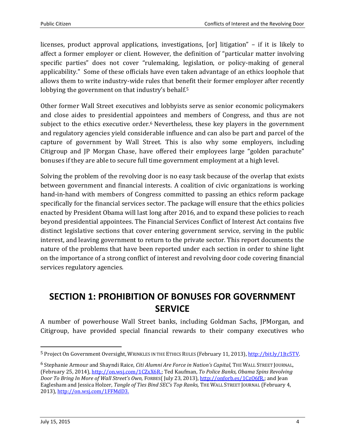licenses, product approval applications, investigations, [or] litigation" – if it is likely to affect a former employer or client. However, the definition of "particular matter involving specific parties" does not cover "rulemaking, legislation, or policy-making of general applicability." Some of these officials have even taken advantage of an ethics loophole that allows them to write industry-wide rules that benefit their former employer after recently lobbying the government on that industry's behalf.<sup>5</sup>

Other former Wall Street executives and lobbyists serve as senior economic policymakers and close aides to presidential appointees and members of Congress, and thus are not subject to the ethics executive order.<sup>6</sup> Nevertheless, these key players in the government and regulatory agencies yield considerable influence and can also be part and parcel of the capture of government by Wall Street. This is also why some employers, including Citigroup and JP Morgan Chase, have offered their employees large "golden parachute" bonuses if they are able to secure full time government employment at a high level.

Solving the problem of the revolving door is no easy task because of the overlap that exists between government and financial interests. A coalition of civic organizations is working hand-in-hand with members of Congress committed to passing an ethics reform package specifically for the financial services sector. The package will ensure that the ethics policies enacted by President Obama will last long after 2016, and to expand these policies to reach beyond presidential appointees. The Financial Services Conflict of Interest Act contains five distinct legislative sections that cover entering government service, serving in the public interest, and leaving government to return to the private sector. This report documents the nature of the problems that have been reported under each section in order to shine light on the importance of a strong conflict of interest and revolving door code covering financial services regulatory agencies.

## **SECTION 1: PROHIBITION OF BONUSES FOR GOVERNMENT SERVICE**

A number of powerhouse Wall Street banks, including Goldman Sachs, JPMorgan, and Citigroup, have provided special financial rewards to their company executives who

<sup>5</sup> Project On Government Oversight, WRINKLES IN THE ETHICS RULES (February 11, 2013), [http://bit.ly/1Jtc5TV.](http://bit.ly/1Jtc5TV)

<sup>6</sup> Stephanie Armour and Shayndi Raice, *Citi Alumni Are Force in Nation's Capital,* THE WALL STREET JOURNAL, (February 25, 2014), [http://on.wsj.com/1CZxX6R.;](http://on.wsj.com/1CZxX6R) Ted Kaufman, *To Police Banks, Obama Spins Revolving Door To Bring In More of Wall Street's Own,* FORBES( July 23, 2013), [http://onforb.es/1CzO6fR.;](http://onforb.es/1CzO6fR) and Jean Eaglesham and Jessica Holzer, *Tangle of Ties Bind SEC's Top Ranks,* THE WALL STREET JOURNAL (February 4, 2013), [http://on.wsj.com/1FFMdD3.](http://on.wsj.com/1FFMdD3)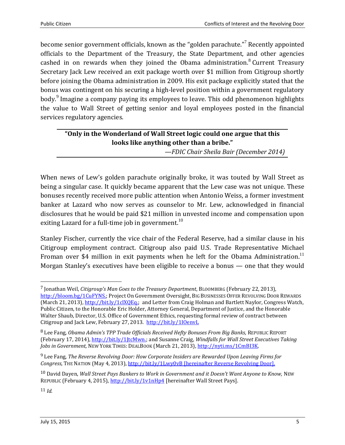become senior government officials, known as the "golden parachute."<sup>7</sup> Recently appointed officials to the Department of the Treasury, the State Department, and other agencies cashed in on rewards when they joined the Obama administration. $8$  Current Treasury Secretary Jack Lew received an exit package worth over \$1 million from Citigroup shortly before joining the Obama administration in 2009. His exit package explicitly stated that the bonus was contingent on his securing a high-level position within a government regulatory body.<sup>9</sup> Imagine a company paying its employees to leave. This odd phenomenon highlights the value to Wall Street of getting senior and loyal employees posted in the financial services regulatory agencies.

#### **"Only in the Wonderland of Wall Street logic could one argue that this looks like anything other than a bribe."**

*—FDIC Chair Sheila Bair (December 2014)*

When news of Lew's golden parachute originally broke, it was touted by Wall Street as being a singular case. It quickly became apparent that the Lew case was not unique. These bonuses recently received more public attention when Antonio Weiss, a former investment banker at Lazard who now serves as counselor to Mr. Lew, acknowledged in financial disclosures that he would be paid \$21 million in unvested income and compensation upon exiting Lazard for a full-time job in government.<sup>10</sup>

Stanley Fischer, currently the vice chair of the Federal Reserve, had a similar clause in his Citigroup employment contract. Citigroup also paid U.S. Trade Representative Michael Froman over \$4 million in exit payments when he left for the Obama Administration.<sup>11</sup> Morgan Stanley's executives have been eligible to receive a bonus — one that they would

11 *Id.*

<sup>7</sup> Jonathan Weil, *Citigroup's Man Goes to the Treasury Department*, BLOOMBERG (February 22, 2013), [http://bloom.bg/1CuFYNS.;](http://bloom.bg/1CuFYNS) Project On Government Oversight, BIG BUSINESSES OFFER REVOLVING DOOR REWARDS (March 21, 2013), [http://bit.ly/1clXQEq.;](http://bit.ly/1clXQEq) and Letter from Craig Holman and Bartlett Naylor, Congress Watch, Public Citizen, to the Honorable Eric Holder, Attorney General, Department of Justice, and the Honorable Walter Shaub, Director, U.S. Office of Government Ethics, requesting formal review of contract between Citigroup and Jack Lew, February 27, 2013. <http://bit.ly/1IOenvL>

<sup>8</sup> Lee Fang, *Obama Admin's TPP Trade Officials Received Hefty Bonuses From Big Banks,* REPUBLIC REPORT (February 17, 2014), [http://bit.ly/1JtcMwn.;](http://bit.ly/1JtcMwn) and Susanne Craig, *Windfalls for Wall Street Executives Taking*  Jobs in Government, NEW YORK TIMES: DEALBOOK (March 21, 2013), [http://nyti.ms/1CmBI3K.](http://nyti.ms/1CmBI3K)

<sup>9</sup> Lee Fang, *The Reverse Revolving Door: How Corporate Insiders are Rewarded Upon Leaving Firms for Congress,* THE NATION (May 4, 2013), <http://bit.ly/1Lwy0vB> [hereinafter Reverse Revolving Door].

<sup>10</sup> David Dayen, *Wall Street Pays Bankers to Work in Government and it Doesn't Want Anyone to Know,* NEW REPUBLIC (February 4, 2015), <http://bit.ly/1v1nHp4> [hereinafter Wall Street Pays].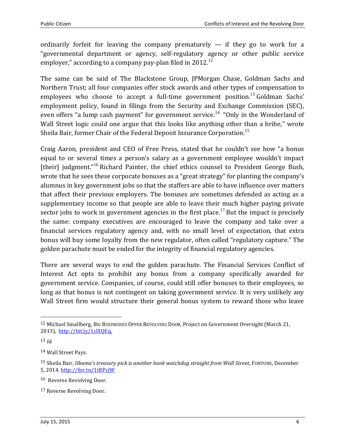ordinarily forfeit for leaving the company prematurely  $-$  if they go to work for a "governmental department or agency, self-regulatory agency or other public service employer," according to a company pay-plan filed in 2012.<sup>12</sup>

The same can be said of The Blackstone Group, JPMorgan Chase, Goldman Sachs and Northern Trust; all four companies offer stock awards and other types of compensation to employees who choose to accept a full-time government position.<sup>13</sup> Goldman Sachs' employment policy, found in filings from the Security and Exchange Commission (SEC), even offers "a lump cash payment" for government service.<sup>14</sup> "Only in the Wonderland of Wall Street logic could one argue that this looks like anything other than a bribe," wrote Sheila Bair, former Chair of the Federal Deposit Insurance Corporation.<sup>15</sup>

Craig Aaron, president and CEO of Free Press, stated that he couldn't see how "a bonus equal to or several times a person's salary as a government employee wouldn't impact [their] judgment."<sup>16</sup> Richard Painter, the chief ethics counsel to President George Bush, wrote that he sees these corporate bonuses as a "great strategy" for planting the company's alumnus in key government jobs so that the staffers are able to have influence over matters that affect their previous employers. The bonuses are sometimes defended as acting as a supplementary income so that people are able to leave their much higher paying private sector jobs to work in government agencies in the first place.<sup>17</sup> But the impact is precisely the same: company executives are encouraged to leave the company and take over a financial services regulatory agency and, with no small level of expectation, that extra bonus will buy some loyalty from the new regulator, often called "regulatory capture." The golden parachute must be ended for the integrity of financial regulatory agencies.

There are several ways to end the golden parachute. The Financial Services Conflict of Interest Act opts to prohibit any bonus from a company specifically awarded for government service. Companies, of course, could still offer bonuses to their employees, so long as that bonus is not contingent on taking government service. It is very unlikely any Wall Street firm would structure their general bonus system to reward those who leave

<sup>12</sup> Michael Smallberg, BIG BUSINESSES OFFER REVOLVING DOOR*,* Project on Government Oversight (March 21, 2013), [http://bit.ly/1clXQEq.](http://bit.ly/1clXQEq)

<sup>13</sup> *Id.*

<sup>14</sup> Wall Street Pays.

<sup>15</sup> Sheila Bair, *Obama's treasury pick is another bank watchdog straight from Wall Street*, FORTUNE, December 5, 2014.<http://for.tn/1tRPcjW>

<sup>16</sup> Reverse Revolving Door.

<sup>17</sup> Reverse Revolving Door.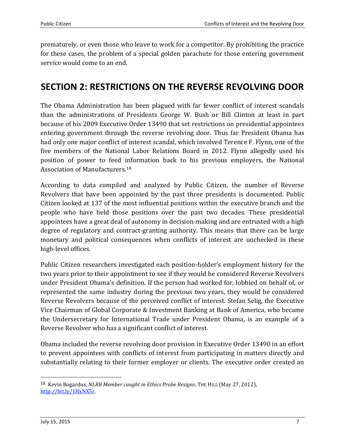prematurely, or even those who leave to work for a competitor. By prohibiting the practice for these cases, the problem of a special golden parachute for those entering government service would come to an end.

## **SECTION 2: RESTRICTIONS ON THE REVERSE REVOLVING DOOR**

The Obama Administration has been plagued with far fewer conflict of interest scandals than the administrations of Presidents George W. Bush or Bill Clinton at least in part because of his 2009 Executive Order 13490 that set restrictions on presidential appointees entering government through the reverse revolving door. Thus far President Obama has had only one major conflict of interest scandal, which involved Terence F. Flynn, one of the five members of the National Labor Relations Board in 2012. Flynn allegedly used his position of power to feed information back to his previous employers, the National Association of Manufacturers.<sup>18</sup>

According to data compiled and analyzed by Public Citizen, the number of Reverse Revolvers that have been appointed by the past three presidents is documented. Public Citizen looked at 137 of the most influential positions within the executive branch and the people who have held those positions over the past two decades. These presidential appointees have a great deal of autonomy in decision-making and are entrusted with a high degree of regulatory and contract-granting authority. This means that there can be large monetary and political consequences when conflicts of interest are unchecked in these high-level offices.

Public Citizen researchers investigated each position-holder's employment history for the two years prior to their appointment to see if they would be considered Reverse Revolvers under President Obama's definition. If the person had worked for, lobbied on behalf of, or represented the same industry during the previous two years, they would be considered Reverse Revolvers because of the perceived conflict of interest. Stefan Selig, the Executive Vice Chairman of Global Corporate & Investment Banking at Bank of America, who became the Undersecretary for International Trade under President Obama, is an example of a Reverse Revolver who has a significant conflict of interest.

Obama included the reverse revolving door provision in Executive Order 13490 in an effort to prevent appointees with conflicts of interest from participating in matters directly and substantially relating to their former employer or clients. The executive order created an

<sup>18</sup> Kevin Bogardus, *NLRB Member caught in Ethics Probe Resigns*, THE HILL (May 27, 2012), [http://bit.ly/1HxNX5r.](http://bit.ly/1HxNX5r)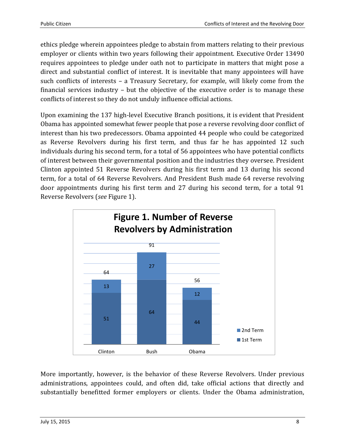ethics pledge wherein appointees pledge to abstain from matters relating to their previous employer or clients within two years following their appointment. Executive Order 13490 requires appointees to pledge under oath not to participate in matters that might pose a direct and substantial conflict of interest. It is inevitable that many appointees will have such conflicts of interests – a Treasury Secretary, for example, will likely come from the financial services industry – but the objective of the executive order is to manage these conflicts of interest so they do not unduly influence official actions.

Upon examining the 137 high-level Executive Branch positions, it is evident that President Obama has appointed somewhat fewer people that pose a reverse revolving door conflict of interest than his two predecessors. Obama appointed 44 people who could be categorized as Reverse Revolvers during his first term, and thus far he has appointed 12 such individuals during his second term, for a total of 56 appointees who have potential conflicts of interest between their governmental position and the industries they oversee. President Clinton appointed 51 Reverse Revolvers during his first term and 13 during his second term, for a total of 64 Reverse Revolvers. And President Bush made 64 reverse revolving door appointments during his first term and 27 during his second term, for a total 91 Reverse Revolvers (*see* Figure 1).



More importantly, however, is the behavior of these Reverse Revolvers. Under previous administrations, appointees could, and often did, take official actions that directly and substantially benefitted former employers or clients. Under the Obama administration,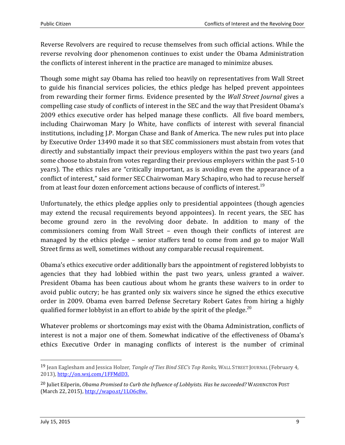Reverse Revolvers are required to recuse themselves from such official actions. While the reverse revolving door phenomenon continues to exist under the Obama Administration the conflicts of interest inherent in the practice are managed to minimize abuses.

Though some might say Obama has relied too heavily on representatives from Wall Street to guide his financial services policies, the ethics pledge has helped prevent appointees from rewarding their former firms. Evidence presented by the *Wall Street Journal* gives a compelling case study of conflicts of interest in the SEC and the way that President Obama's 2009 ethics executive order has helped manage these conflicts. All five board members, including Chairwoman Mary Jo White, have conflicts of interest with several financial institutions, including J.P. Morgan Chase and Bank of America. The new rules put into place by Executive Order 13490 made it so that SEC commissioners must abstain from votes that directly and substantially impact their previous employers within the past two years (and some choose to abstain from votes regarding their previous employers within the past 5-10 years). The ethics rules are "critically important, as is avoiding even the appearance of a conflict of interest," said former SEC Chairwoman Mary Schapiro, who had to recuse herself from at least four dozen enforcement actions because of conflicts of interest. $^{19}$ 

Unfortunately, the ethics pledge applies only to presidential appointees (though agencies may extend the recusal requirements beyond appointees). In recent years, the SEC has become ground zero in the revolving door debate. In addition to many of the commissioners coming from Wall Street – even though their conflicts of interest are managed by the ethics pledge – senior staffers tend to come from and go to major Wall Street firms as well, sometimes without any comparable recusal requirement.

Obama's ethics executive order additionally bars the appointment of registered lobbyists to agencies that they had lobbied within the past two years, unless granted a waiver. President Obama has been cautious about whom he grants these waivers to in order to avoid public outcry; he has granted only six waivers since he signed the ethics executive order in 2009. Obama even barred Defense Secretary Robert Gates from hiring a highly qualified former lobbyist in an effort to abide by the spirit of the pledge.<sup>20</sup>

Whatever problems or shortcomings may exist with the Obama Administration, conflicts of interest is not a major one of them. Somewhat indicative of the effectiveness of Obama's ethics Executive Order in managing conflicts of interest is the number of criminal

<sup>19</sup> Jean Eaglesham and Jessica Holzer, *Tangle of Ties Bind SEC's Top Ranks,* WALL STREET JOURNAL (February 4, 2013), [http://on.wsj.com/1FFMdD3.](http://on.wsj.com/1FFMdD3)

<sup>20</sup> Juliet Eilperin, *Obama Promised to Curb the Influence of Lobbyists. Has he succeeded?* WASHINGTON POST (March 22, 2015), [http://wapo.st/1LO6c8w.](http://wapo.st/1LO6c8w)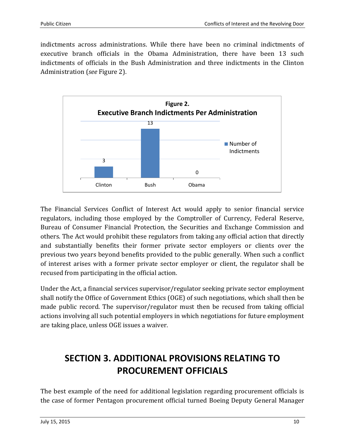indictments across administrations. While there have been no criminal indictments of executive branch officials in the Obama Administration, there have been 13 such indictments of officials in the Bush Administration and three indictments in the Clinton Administration (*see* Figure 2).



The Financial Services Conflict of Interest Act would apply to senior financial service regulators, including those employed by the Comptroller of Currency, Federal Reserve, Bureau of Consumer Financial Protection, the Securities and Exchange Commission and others. The Act would prohibit these regulators from taking any official action that directly and substantially benefits their former private sector employers or clients over the previous two years beyond benefits provided to the public generally. When such a conflict of interest arises with a former private sector employer or client, the regulator shall be recused from participating in the official action.

Under the Act, a financial services supervisor/regulator seeking private sector employment shall notify the Office of Government Ethics (OGE) of such negotiations, which shall then be made public record. The supervisor/regulator must then be recused from taking official actions involving all such potential employers in which negotiations for future employment are taking place, unless OGE issues a waiver.

# **SECTION 3. ADDITIONAL PROVISIONS RELATING TO PROCUREMENT OFFICIALS**

The best example of the need for additional legislation regarding procurement officials is the case of former Pentagon procurement official turned Boeing Deputy General Manager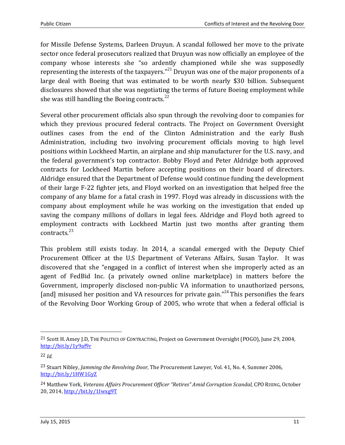for Missile Defense Systems, Darleen Druyun. A scandal followed her move to the private sector once federal prosecutors realized that Druyun was now officially an employee of the company whose interests she "so ardently championed while she was supposedly representing the interests of the taxpayers."<sup>21</sup> Druyun was one of the major proponents of a large deal with Boeing that was estimated to be worth nearly \$30 billion. Subsequent disclosures showed that she was negotiating the terms of future Boeing employment while she was still handling the Boeing contracts. $^{22}$ 

Several other procurement officials also spun through the revolving door to companies for which they previous procured federal contracts. The Project on Government Oversight outlines cases from the end of the Clinton Administration and the early Bush Administration, including two involving procurement officials moving to high level positions within Lockheed Martin, an airplane and ship manufacturer for the U.S. navy, and the federal government's top contractor. Bobby Floyd and Peter Aldridge both approved contracts for Lockheed Martin before accepting positions on their board of directors. Aldridge ensured that the Department of Defense would continue funding the development of their large F-22 fighter jets, and Floyd worked on an investigation that helped free the company of any blame for a fatal crash in 1997. Floyd was already in discussions with the company about employment while he was working on the investigation that ended up saving the company millions of dollars in legal fees. Aldridge and Floyd both agreed to employment contracts with Lockheed Martin just two months after granting them contracts. 23

This problem still exists today. In 2014, a scandal emerged with the Deputy Chief Procurement Officer at the U.S Department of Veterans Affairs, Susan Taylor. It was discovered that she "engaged in a conflict of interest when she improperly acted as an agent of FedBid Inc. (a privately owned online marketplace) in matters before the Government, improperly disclosed non-public VA information to unauthorized persons, [and] misused her position and VA resources for private gain."<sup>24</sup> This personifies the fears of the Revolving Door Working Group of 2005, who wrote that when a federal official is

 $\overline{a}$ 

<sup>21</sup> Scott H. Amey J.D, THE POLITICS OF CONTRACTING, Project on Government Oversight (POGO), June 29, 2004, <http://bit.ly/1y9af9r>

<sup>22</sup> *Id.*

<sup>23</sup> Stuart Nibley, *Jamming the Revolving Door,* The Procurement Lawyer, Vol. 41, No. 4, Summer 2006, <http://bit.ly/1HW1GyZ>

<sup>24</sup> Matthew York, *[Veterans Affairs Procurement Officer "Retires" A](http://cporising.com/2014/10/20/veterans-affairs-procurement-officer-retires-amid-corruption-scandal/)mid Corruption Scandal,* CPO RISING, October 20, 2014, <http://bit.ly/1Iwxg9T>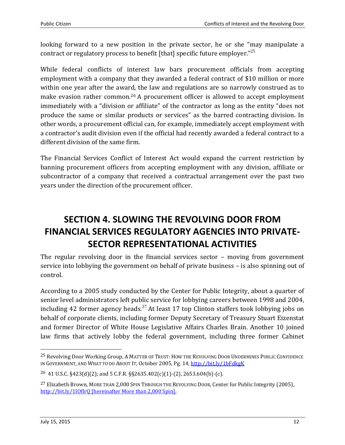looking forward to a new position in the private sector, he or she "may manipulate a contract or regulatory process to benefit [that] specific future employer." $^{25}$ 

While federal conflicts of interest law bars procurement officials from accepting employment with a company that they awarded a federal contract of \$10 million or more within one year after the award, the law and regulations are so narrowly construed as to make evasion rather common.<sup>26</sup> A procurement officer is allowed to accept employment immediately with a "division or affiliate" of the contractor as long as the entity "does not produce the same or similar products or services" as the barred contracting division. In other words, a procurement official can, for example, immediately accept employment with a contractor's audit division even if the official had recently awarded a federal contract to a different division of the same firm.

The Financial Services Conflict of Interest Act would expand the current restriction by banning procurement officers from accepting employment with any division, affiliate or subcontractor of a company that received a contractual arrangement over the past two years under the direction of the procurement officer.

# **SECTION 4. SLOWING THE REVOLVING DOOR FROM FINANCIAL SERVICES REGULATORY AGENCIES INTO PRIVATE-SECTOR REPRESENTATIONAL ACTIVITIES**

The regular revolving door in the financial services sector – moving from government service into lobbying the government on behalf of private business – is also spinning out of control.

According to a 2005 study conducted by the Center for Public Integrity, about a quarter of senior level administrators left public service for lobbying careers between 1998 and 2004, including 42 former agency heads.<sup>27</sup> At least 17 top Clinton staffers took lobbying jobs on behalf of corporate clients, including former Deputy Secretary of Treasury Stuart Eizenstat and former Director of White House Legislative Affairs Charles Brain. Another 10 joined law firms that actively lobby the federal government, including three former Cabinet

<sup>25</sup> Revolving Door Working Group, A MATTER OF TRUST: HOW THE REVOLVING DOOR UNDERMINES PUBLIC CONFIDENCE IN GOVERNMENT, AND WHAT TO DO ABOUT IT, October 2005, Pg. 14, <http://bit.ly/1bFdkgK>

<sup>26</sup> 41 U.S.C. §423(d)(2); and 5 C.F.R. §§2635.402(c)(1)-(2), 2653.604(b)-(c).

<sup>&</sup>lt;sup>27</sup> Elizabeth Brown, MORE THAN 2,000 SPIN THROUGH THE REVOLVING DOOR, Center for Public Integrity (2005), <http://bit.ly/1IOflrQ> [hereinafter More than 2,000 Spin].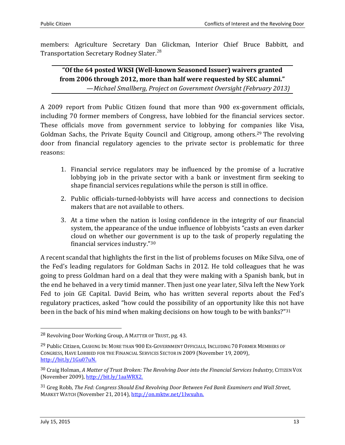members: Agriculture Secretary Dan Glickman, Interior Chief Bruce Babbitt, and Transportation Secretary Rodney Slater.<sup>28</sup>

**"Of the 64 posted WKSI (Well-known Seasoned Issuer) waivers granted from 2006 through 2012, more than half were requested by SEC alumni."** —*Michael Smallberg, Project on Government Oversight (February 2013)*

A 2009 report from Public Citizen found that more than 900 ex-government officials, including 70 former members of Congress, have lobbied for the financial services sector. These officials move from government service to lobbying for companies like Visa, Goldman Sachs, the Private Equity Council and Citigroup, among others.<sup>29</sup> The revolving door from financial regulatory agencies to the private sector is problematic for three reasons:

- 1. Financial service regulators may be influenced by the promise of a lucrative lobbying job in the private sector with a bank or investment firm seeking to shape financial services regulations while the person is still in office.
- 2. Public officials-turned-lobbyists will have access and connections to decision makers that are not available to others.
- 3. At a time when the nation is losing confidence in the integrity of our financial system, the appearance of the undue influence of lobbyists "casts an even darker cloud on whether our government is up to the task of properly regulating the financial services industry."<sup>30</sup>

A recent scandal that highlights the first in the list of problems focuses on Mike Silva, one of the Fed's leading regulators for Goldman Sachs in 2012. He told colleagues that he was going to press Goldman hard on a deal that they were making with a Spanish bank, but in the end he behaved in a very timid manner. Then just one year later, Silva left the New York Fed to join GE Capital. David Beim, who has written several reports about the Fed's regulatory practices, asked "how could the possibility of an opportunity like this not have been in the back of his mind when making decisions on how tough to be with banks?"<sup>31</sup>

 $\overline{a}$ 

<sup>28</sup> Revolving Door Working Group, A MATTER OF TRUST, pg. 43.

<sup>&</sup>lt;sup>29</sup> Public Citizen, Cashing In: MORE THAN 900 Ex-GOVERNMENT OFFICIALS, INCLUDING 70 FORMER MEMBERS OF CONGRESS, HAVE LOBBIED FOR THE FINANCIAL SERVICES SECTOR IN 2009 (November 19, 2009), [http://bit.ly/1Gu07uN.](http://bit.ly/1Gu07uN)

<sup>30</sup> Craig Holman, *A Matter of Trust Broken: The Revolving Door into the Financial Services Industry,* CITIZEN VOX (November 2009), [http://bit.ly/1aaWRX2.](http://bit.ly/1aaWRX2)

<sup>31</sup> Greg Robb, *The Fed: Congress Should End Revolving Door Between Fed Bank Examiners and Wall Street*, MARKET WATCH (November 21, 2014), [http://on.mktw.net/1Iwxuhn.](http://on.mktw.net/1Iwxuhn)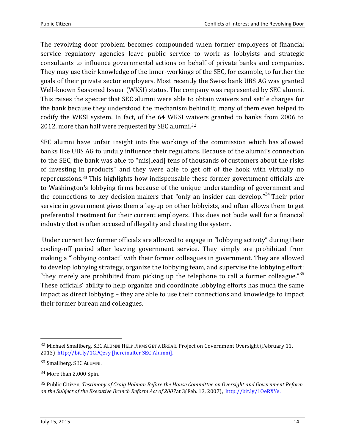The revolving door problem becomes compounded when former employees of financial service regulatory agencies leave public service to work as lobbyists and strategic consultants to influence governmental actions on behalf of private banks and companies. They may use their knowledge of the inner-workings of the SEC, for example, to further the goals of their private sector employers. Most recently the Swiss bank UBS AG was granted Well-known Seasoned Issuer (WKSI) status. The company was represented by SEC alumni. This raises the specter that SEC alumni were able to obtain waivers and settle charges for the bank because they understood the mechanism behind it; many of them even helped to codify the WKSI system. In fact, of the 64 WKSI waivers granted to banks from 2006 to 2012, more than half were requested by SEC alumni.<sup>32</sup>

SEC alumni have unfair insight into the workings of the commission which has allowed banks like UBS AG to unduly influence their regulators. Because of the alumni's connection to the SEC, the bank was able to "mis[lead] tens of thousands of customers about the risks of investing in products" and they were able to get off of the hook with virtually no repercussions.<sup>33</sup> This highlights how indispensable these former government officials are to Washington's lobbying firms because of the unique understanding of government and the connections to key decision-makers that "only an insider can develop."<sup>34</sup> Their prior service in government gives them a leg-up on other lobbyists, and often allows them to get preferential treatment for their current employers. This does not bode well for a financial industry that is often accused of illegality and cheating the system.

Under current law former officials are allowed to engage in "lobbying activity" during their cooling-off period after leaving government service. They simply are prohibited from making a "lobbying contact" with their former colleagues in government. They are allowed to develop lobbying strategy, organize the lobbying team, and supervise the lobbying effort; "they merely are prohibited from picking up the telephone to call a former colleague." $35$ These officials' ability to help organize and coordinate lobbying efforts has much the same impact as direct lobbying – they are able to use their connections and knowledge to impact their former bureau and colleagues.

<sup>32</sup> Michael Smallberg, SEC ALUMNI HELP FIRMS GET A BREAK*,* Project on Government Oversight (February 11, 2013)<http://bit.ly/1GPQzsy> [hereinafter SEC Alumni].

<sup>33</sup> Smallberg, SEC ALUMNI.

<sup>34</sup> More than 2,000 Spin.

<sup>35</sup> Public Citizen, *Testimony of Craig Holman Before the House Committee on Oversight and Government Reform on the Subject of the Executive Branch Reform Act of 2007*at 3(Feb. 13, 2007), [http://bit.ly/1OeRXYe.](http://bit.ly/1OeRXYe)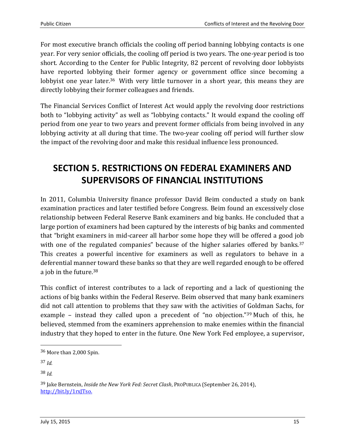For most executive branch officials the cooling off period banning lobbying contacts is one year. For very senior officials, the cooling off period is two years. The one-year period is too short. According to the Center for Public Integrity, 82 percent of revolving door lobbyists have reported lobbying their former agency or government office since becoming a lobbyist one year later.<sup>36</sup> With very little turnover in a short year, this means they are directly lobbying their former colleagues and friends.

The Financial Services Conflict of Interest Act would apply the revolving door restrictions both to "lobbying activity" as well as "lobbying contacts." It would expand the cooling off period from one year to two years and prevent former officials from being involved in any lobbying activity at all during that time. The two-year cooling off period will further slow the impact of the revolving door and make this residual influence less pronounced.

## **SECTION 5. RESTRICTIONS ON FEDERAL EXAMINERS AND SUPERVISORS OF FINANCIAL INSTITUTIONS**

In 2011, Columbia University finance professor David Beim conducted a study on bank examination practices and later testified before Congress. Beim found an excessively close relationship between Federal Reserve Bank examiners and big banks. He concluded that a large portion of examiners had been captured by the interests of big banks and commented that "bright examiners in mid-career all harbor some hope they will be offered a good job with one of the regulated companies" because of the higher salaries offered by banks.<sup>37</sup> This creates a powerful incentive for examiners as well as regulators to behave in a deferential manner toward these banks so that they are well regarded enough to be offered a job in the future.<sup>38</sup>

This conflict of interest contributes to a lack of reporting and a lack of questioning the actions of big banks within the Federal Reserve. Beim observed that many bank examiners did not call attention to problems that they saw with the activities of Goldman Sachs, for example – instead they called upon a precedent of "no objection."<sup>39</sup> Much of this, he believed, stemmed from the examiners apprehension to make enemies within the financial industry that they hoped to enter in the future. One New York Fed employee, a supervisor,

l

38 *Id.*

<sup>36</sup> More than 2,000 Spin.

<sup>37</sup> *Id.*

<sup>39</sup> Jake Bernstein, *Inside the New York Fed: Secret Clash*, PROPUBLICA (September 26, 2014), [http://bit.ly/1rxJTso.](http://bit.ly/1rxJTso)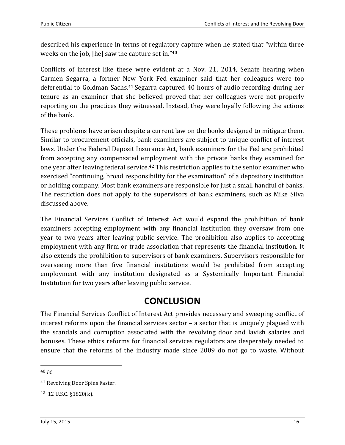described his experience in terms of regulatory capture when he stated that "within three weeks on the job, [he] saw the capture set in." 40

Conflicts of interest like these were evident at a Nov. 21, 2014, Senate hearing when Carmen Segarra, a former New York Fed examiner said that her colleagues were too deferential to Goldman Sachs.<sup>41</sup> Segarra captured 40 hours of audio recording during her tenure as an examiner that she believed proved that her colleagues were not properly reporting on the practices they witnessed. Instead, they were loyally following the actions of the bank.

These problems have arisen despite a current law on the books designed to mitigate them. Similar to procurement officials, bank examiners are subject to unique conflict of interest laws. Under the Federal Deposit Insurance Act, bank examiners for the Fed are prohibited from accepting any compensated employment with the private banks they examined for one year after leaving federal service.<sup>42</sup> This restriction applies to the senior examiner who exercised "continuing, broad responsibility for the examination" of a depository institution or holding company. Most bank examiners are responsible for just a small handful of banks. The restriction does not apply to the supervisors of bank examiners, such as Mike Silva discussed above.

The Financial Services Conflict of Interest Act would expand the prohibition of bank examiners accepting employment with any financial institution they oversaw from one year to two years after leaving public service. The prohibition also applies to accepting employment with any firm or trade association that represents the financial institution. It also extends the prohibition to supervisors of bank examiners. Supervisors responsible for overseeing more than five financial institutions would be prohibited from accepting employment with any institution designated as a Systemically Important Financial Institution for two years after leaving public service.

## **CONCLUSION**

The Financial Services Conflict of Interest Act provides necessary and sweeping conflict of interest reforms upon the financial services sector – a sector that is uniquely plagued with the scandals and corruption associated with the revolving door and lavish salaries and bonuses. These ethics reforms for financial services regulators are desperately needed to ensure that the reforms of the industry made since 2009 do not go to waste. Without

40 *Id.*

<sup>41</sup> Revolving Door Spins Faster.

<sup>42</sup> 12 U.S.C. §1820(k).